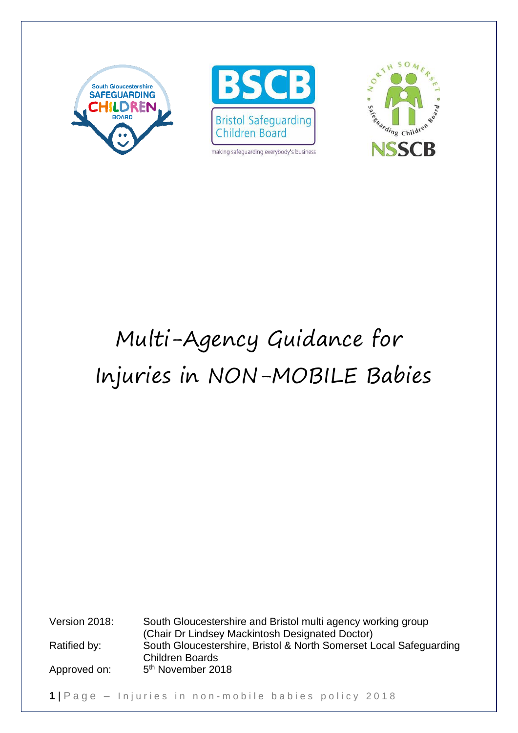



making safeguarding everybody's business



# Multi-Agency Guidance for Injuries in NON-MOBILE Babies

Version 2018: South Gloucestershire and Bristol multi agency working group (Chair Dr Lindsey Mackintosh Designated Doctor) Ratified by: South Gloucestershire, Bristol & North Somerset Local Safeguarding Children Boards Approved on: 5<sup>th</sup> November 2018

1 | Page – Injuries in non-mobile babies policy 2018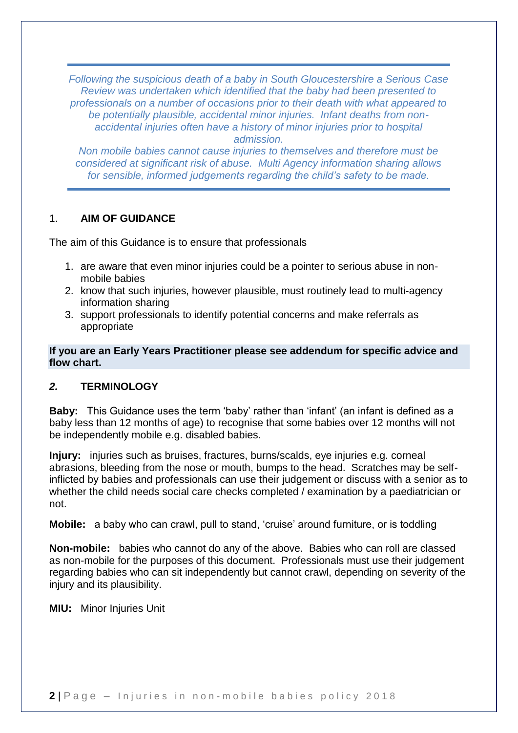*Following the suspicious death of a baby in South Gloucestershire a Serious Case Review was undertaken which identified that the baby had been presented to professionals on a number of occasions prior to their death with what appeared to be potentially plausible, accidental minor injuries. Infant deaths from nonaccidental injuries often have a history of minor injuries prior to hospital admission.*

*Non mobile babies cannot cause injuries to themselves and therefore must be considered at significant risk of abuse. Multi Agency information sharing allows for sensible, informed judgements regarding the child's safety to be made.*

#### 1. **AIM OF GUIDANCE**

The aim of this Guidance is to ensure that professionals

- 1. are aware that even minor injuries could be a pointer to serious abuse in nonmobile babies
- 2. know that such injuries, however plausible, must routinely lead to multi-agency information sharing
- 3. support professionals to identify potential concerns and make referrals as appropriate

**If you are an Early Years Practitioner please see addendum for specific advice and flow chart.**

#### *2.* **TERMINOLOGY**

**Baby:** This Guidance uses the term 'baby' rather than 'infant' (an infant is defined as a baby less than 12 months of age) to recognise that some babies over 12 months will not be independently mobile e.g. disabled babies.

**Injury:** injuries such as bruises, fractures, burns/scalds, eye injuries e.g. corneal abrasions, bleeding from the nose or mouth, bumps to the head. Scratches may be selfinflicted by babies and professionals can use their judgement or discuss with a senior as to whether the child needs social care checks completed / examination by a paediatrician or not.

**Mobile:** a baby who can crawl, pull to stand, 'cruise' around furniture, or is toddling

**Non-mobile:** babies who cannot do any of the above. Babies who can roll are classed as non-mobile for the purposes of this document. Professionals must use their judgement regarding babies who can sit independently but cannot crawl, depending on severity of the injury and its plausibility.

**MIU:** Minor Injuries Unit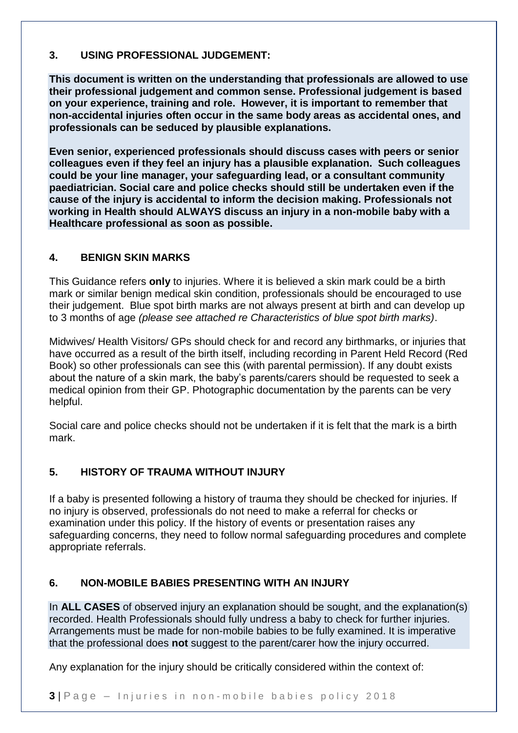# **3. USING PROFESSIONAL JUDGEMENT:**

**This document is written on the understanding that professionals are allowed to use their professional judgement and common sense. Professional judgement is based on your experience, training and role. However, it is important to remember that non-accidental injuries often occur in the same body areas as accidental ones, and professionals can be seduced by plausible explanations.** 

**Even senior, experienced professionals should discuss cases with peers or senior colleagues even if they feel an injury has a plausible explanation. Such colleagues could be your line manager, your safeguarding lead, or a consultant community paediatrician. Social care and police checks should still be undertaken even if the cause of the injury is accidental to inform the decision making. Professionals not working in Health should ALWAYS discuss an injury in a non-mobile baby with a Healthcare professional as soon as possible.** 

# **4. BENIGN SKIN MARKS**

This Guidance refers **only** to injuries. Where it is believed a skin mark could be a birth mark or similar benign medical skin condition, professionals should be encouraged to use their judgement. Blue spot birth marks are not always present at birth and can develop up to 3 months of age *(please see attached re Characteristics of blue spot birth marks)*.

Midwives/ Health Visitors/ GPs should check for and record any birthmarks, or injuries that have occurred as a result of the birth itself, including recording in Parent Held Record (Red Book) so other professionals can see this (with parental permission). If any doubt exists about the nature of a skin mark, the baby's parents/carers should be requested to seek a medical opinion from their GP. Photographic documentation by the parents can be very helpful.

Social care and police checks should not be undertaken if it is felt that the mark is a birth mark.

# **5. HISTORY OF TRAUMA WITHOUT INJURY**

If a baby is presented following a history of trauma they should be checked for injuries. If no injury is observed, professionals do not need to make a referral for checks or examination under this policy. If the history of events or presentation raises any safeguarding concerns, they need to follow normal safeguarding procedures and complete appropriate referrals.

# **6. NON-MOBILE BABIES PRESENTING WITH AN INJURY**

In **ALL CASES** of observed injury an explanation should be sought, and the explanation(s) recorded. Health Professionals should fully undress a baby to check for further injuries. Arrangements must be made for non-mobile babies to be fully examined. It is imperative that the professional does **not** suggest to the parent/carer how the injury occurred.

Any explanation for the injury should be critically considered within the context of: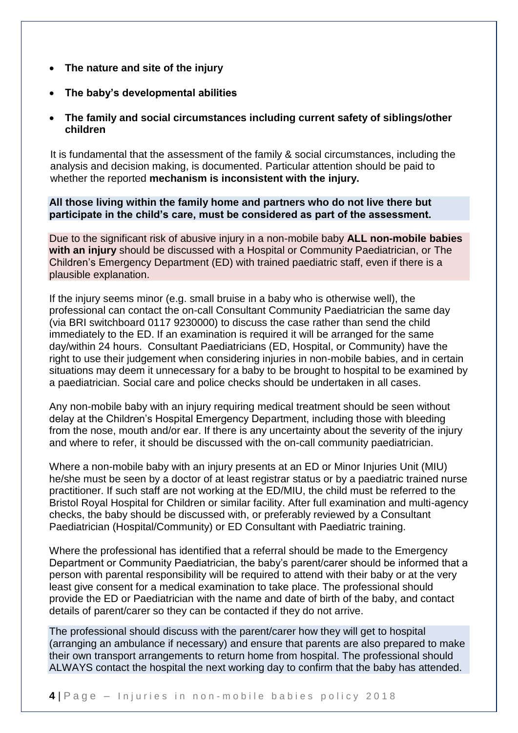- **The nature and site of the injury**
- **The baby's developmental abilities**
- **The family and social circumstances including current safety of siblings/other children**

It is fundamental that the assessment of the family & social circumstances, including the analysis and decision making, is documented. Particular attention should be paid to whether the reported **mechanism is inconsistent with the injury.**

**All those living within the family home and partners who do not live there but participate in the child's care, must be considered as part of the assessment.**

Due to the significant risk of abusive injury in a non-mobile baby **ALL non-mobile babies with an injury** should be discussed with a Hospital or Community Paediatrician, or The Children's Emergency Department (ED) with trained paediatric staff, even if there is a plausible explanation.

If the injury seems minor (e.g. small bruise in a baby who is otherwise well), the professional can contact the on-call Consultant Community Paediatrician the same day (via BRI switchboard 0117 9230000) to discuss the case rather than send the child immediately to the ED. If an examination is required it will be arranged for the same day/within 24 hours. Consultant Paediatricians (ED, Hospital, or Community) have the right to use their judgement when considering injuries in non-mobile babies, and in certain situations may deem it unnecessary for a baby to be brought to hospital to be examined by a paediatrician. Social care and police checks should be undertaken in all cases.

Any non-mobile baby with an injury requiring medical treatment should be seen without delay at the Children's Hospital Emergency Department, including those with bleeding from the nose, mouth and/or ear. If there is any uncertainty about the severity of the injury and where to refer, it should be discussed with the on-call community paediatrician.

Where a non-mobile baby with an injury presents at an ED or Minor Injuries Unit (MIU) he/she must be seen by a doctor of at least registrar status or by a paediatric trained nurse practitioner. If such staff are not working at the ED/MIU, the child must be referred to the Bristol Royal Hospital for Children or similar facility. After full examination and multi-agency checks, the baby should be discussed with, or preferably reviewed by a Consultant Paediatrician (Hospital/Community) or ED Consultant with Paediatric training.

Where the professional has identified that a referral should be made to the Emergency Department or Community Paediatrician, the baby's parent/carer should be informed that a person with parental responsibility will be required to attend with their baby or at the very least give consent for a medical examination to take place. The professional should provide the ED or Paediatrician with the name and date of birth of the baby, and contact details of parent/carer so they can be contacted if they do not arrive.

The professional should discuss with the parent/carer how they will get to hospital (arranging an ambulance if necessary) and ensure that parents are also prepared to make their own transport arrangements to return home from hospital. The professional should ALWAYS contact the hospital the next working day to confirm that the baby has attended.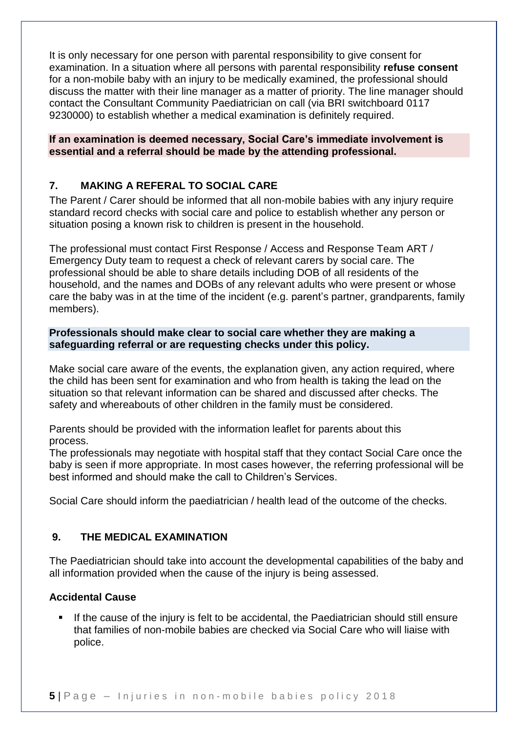It is only necessary for one person with parental responsibility to give consent for examination. In a situation where all persons with parental responsibility **refuse consent** for a non-mobile baby with an injury to be medically examined, the professional should discuss the matter with their line manager as a matter of priority. The line manager should contact the Consultant Community Paediatrician on call (via BRI switchboard 0117 9230000) to establish whether a medical examination is definitely required.

**If an examination is deemed necessary, Social Care's immediate involvement is essential and a referral should be made by the attending professional.**

# **7. MAKING A REFERAL TO SOCIAL CARE**

The Parent / Carer should be informed that all non-mobile babies with any injury require standard record checks with social care and police to establish whether any person or situation posing a known risk to children is present in the household.

The professional must contact First Response / Access and Response Team ART / Emergency Duty team to request a check of relevant carers by social care. The professional should be able to share details including DOB of all residents of the household, and the names and DOBs of any relevant adults who were present or whose care the baby was in at the time of the incident (e.g. parent's partner, grandparents, family members).

### **Professionals should make clear to social care whether they are making a safeguarding referral or are requesting checks under this policy.**

Make social care aware of the events, the explanation given, any action required, where the child has been sent for examination and who from health is taking the lead on the situation so that relevant information can be shared and discussed after checks. The safety and whereabouts of other children in the family must be considered.

Parents should be provided with the information leaflet for parents about this process.

The professionals may negotiate with hospital staff that they contact Social Care once the baby is seen if more appropriate. In most cases however, the referring professional will be best informed and should make the call to Children's Services.

Social Care should inform the paediatrician / health lead of the outcome of the checks.

# **9. THE MEDICAL EXAMINATION**

The Paediatrician should take into account the developmental capabilities of the baby and all information provided when the cause of the injury is being assessed.

# **Accidental Cause**

 If the cause of the injury is felt to be accidental, the Paediatrician should still ensure that families of non-mobile babies are checked via Social Care who will liaise with police.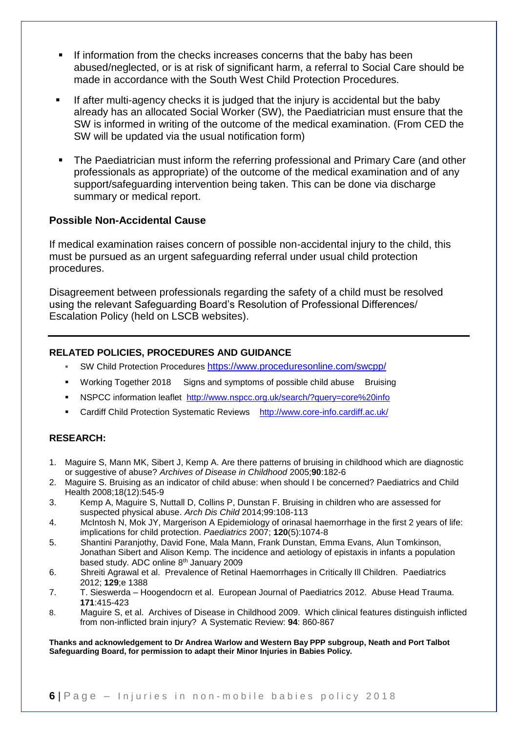- If information from the checks increases concerns that the baby has been abused/neglected, or is at risk of significant harm, a referral to Social Care should be made in accordance with the South West Child Protection Procedures.
- If after multi-agency checks it is judged that the injury is accidental but the baby already has an allocated Social Worker (SW), the Paediatrician must ensure that the SW is informed in writing of the outcome of the medical examination. (From CED the SW will be updated via the usual notification form)
- **The Paediatrician must inform the referring professional and Primary Care (and other** professionals as appropriate) of the outcome of the medical examination and of any support/safeguarding intervention being taken. This can be done via discharge summary or medical report.

#### **Possible Non-Accidental Cause**

If medical examination raises concern of possible non-accidental injury to the child, this must be pursued as an urgent safeguarding referral under usual child protection procedures.

Disagreement between professionals regarding the safety of a child must be resolved using the relevant Safeguarding Board's Resolution of Professional Differences/ Escalation Policy (held on LSCB websites).

#### **RELATED POLICIES, PROCEDURES AND GUIDANCE**

- SW Child Protection Procedures <https://www.proceduresonline.com/swcpp/>
- Working Together 2018 Signs and symptoms of possible child abuse Bruising
- NSPCC information leaflet <http://www.nspcc.org.uk/search/?query=core%20info>
- Cardiff Child Protection Systematic Reviews <http://www.core-info.cardiff.ac.uk/>

#### **RESEARCH:**

- 1. Maguire S, Mann MK, Sibert J, Kemp A. Are there patterns of bruising in childhood which are diagnostic or suggestive of abuse? *Archives of Disease in Childhood* 2005;**90**:182-6
- 2. Maguire S. Bruising as an indicator of child abuse: when should I be concerned? Paediatrics and Child Health 2008;18(12):545-9
- 3. Kemp A, Maguire S, Nuttall D, Collins P, Dunstan F. Bruising in children who are assessed for suspected physical abuse. *Arch Dis Child* 2014;99:108-113
- 4. McIntosh N, Mok JY, Margerison A Epidemiology of orinasal haemorrhage in the first 2 years of life: implications for child protection. *Paediatrics* 2007; **120**(5):1074-8
- 5. Shantini Paranjothy, David Fone, Mala Mann, Frank Dunstan, Emma Evans, Alun Tomkinson, Jonathan Sibert and Alison Kemp. The incidence and aetiology of epistaxis in infants a population based study. ADC online 8th January 2009
- 6. Shreiti Agrawal et al. Prevalence of Retinal Haemorrhages in Critically Ill Children. Paediatrics 2012; **129**;e 1388
- 7. T. Sieswerda Hoogendocrn et al. European Journal of Paediatrics 2012. Abuse Head Trauma. **171**:415-423
- 8. Maguire S, et al. Archives of Disease in Childhood 2009. Which clinical features distinguish inflicted from non-inflicted brain injury? A Systematic Review: **94**: 860-867

**Thanks and acknowledgement to Dr Andrea Warlow and Western Bay PPP subgroup, Neath and Port Talbot Safeguarding Board, for permission to adapt their Minor Injuries in Babies Policy.**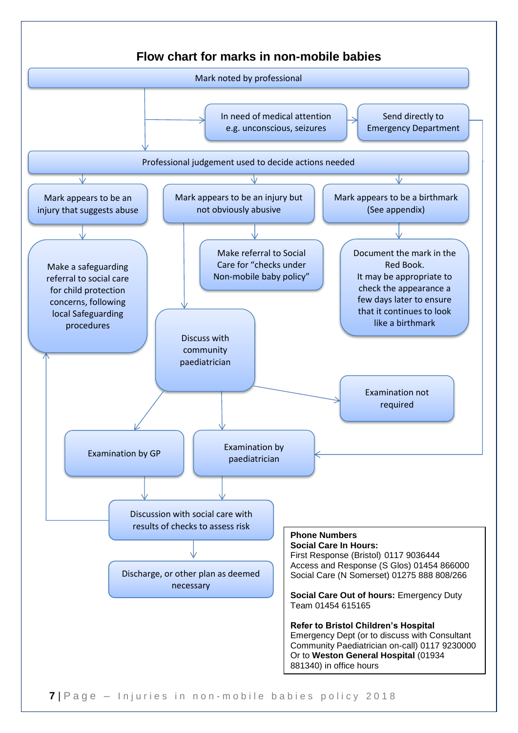

**7** | Page – Injuries in non-mobile babies policy 2018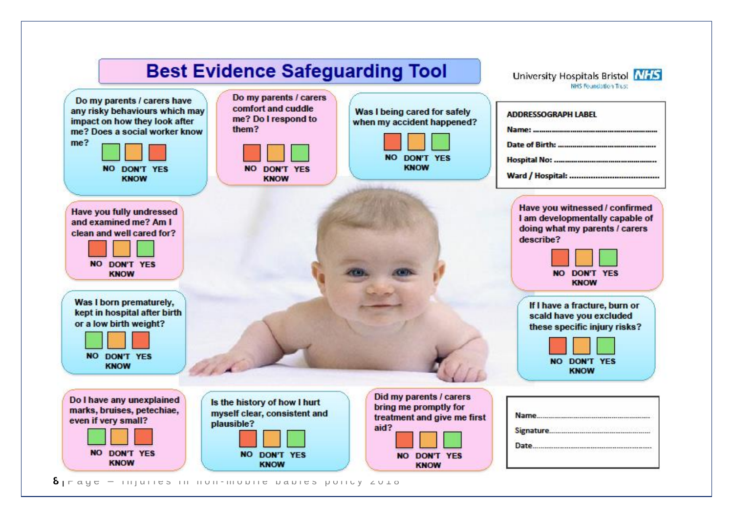